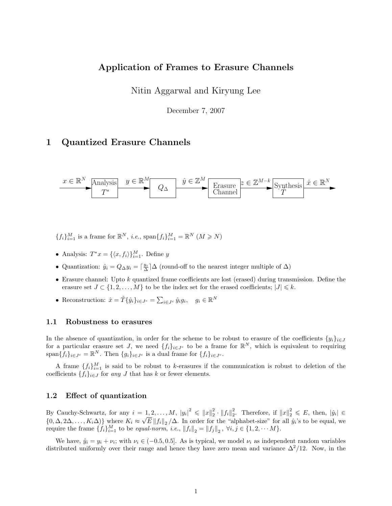## Application of Frames to Erasure Channels

Nitin Aggarwal and Kiryung Lee

December 7, 2007

# 1 Quantized Erasure Channels



 ${f_i}_{i=1}^M$  is a frame for  $\mathbb{R}^N$ , *i.e.*, span ${f_i}_{i=1}^M = \mathbb{R}^N$   $(M \ge N)$ 

- Analysis:  $T^*x = \{\langle x, f_i \rangle\}_{i=1}^M$ . Define y
- Quantization:  $\hat{y}_i = Q_{\Delta} y_i = \lceil \frac{y_i}{\Delta} \rceil \Delta$  (round-off to the nearest integer multiple of  $\Delta$ )
- Erasure channel: Upto k quantized frame coefficients are lost (erased) during transmission. Define the erasure set  $J \subset \{1, 2, ..., M\}$  to be the index set for the erased coefficients;  $|J| \leq k$ .
- Reconstruction:  $\hat{x} = \tilde{T} \{ \hat{y}_i \}_{i \in J^c} = \sum_{i \in J^c} \hat{y}_i g_i, \quad g_i \in \mathbb{R}^N$

#### 1.1 Robustness to erasures

In the absence of quantization, in order for the scheme to be robust to erasure of the coefficients  $\{y_i\}_{i\in J}$ for a particular erasure set J, we need  $\{f_i\}_{i\in J^c}$  to be a frame for  $\mathbb{R}^N$ , which is equivalent to requiring span $\{f_i\}_{i\in J^c} = \mathbb{R}^N$ . Then  $\{g_i\}_{i\in J^c}$  is a dual frame for  $\{f_i\}_{i\in J^c}$ .

A frame  $\{f_i\}_{i=1}^M$  is said to be robust to k-erasures if the communication is robust to deletion of the coefficients  $\{f_i\}_{i\in J}$  for any J that has k or fewer elements.

#### 1.2 Effect of quantization

By Cauchy-Schwartz, for any  $i = 1, 2, ..., M$ ,  $|y_i|^2 \leq ||x||_2^2 \cdot ||f_i||_2^2$ . Therefore, if  $||x||_2^2 \leq E$ , then,  $|\hat{y}_i| \in$  $\{0, \Delta, 2\Delta, \ldots, K_i\Delta)\}\$  where  $K_i \approx \sqrt{E||f_i||_2}/\Delta$ . In order for the "alphabet-size" for all  $\hat{y}_i$ 's to be equal, we require the frame  $\{f_i\}_{i=1}^M$  to be *equal-norm*, *i.e.*,  $||f_i||_2 = ||f_j||_2$ ,  $\forall i, j \in \{1, 2, \cdots M\}$ .

We have,  $\hat{y}_i = y_i + \nu_i$ ; with  $\nu_i \in (-0.5, 0.5]$ . As is typical, we model  $\nu_i$  as independent random variables distributed uniformly over their range and hence they have zero mean and variance  $\Delta^2/12$ . Now, in the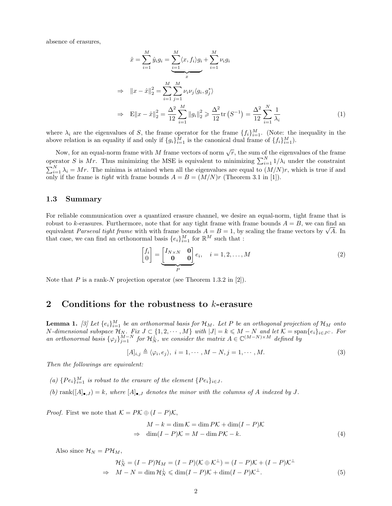absence of erasures,

$$
\hat{x} = \sum_{i=1}^{M} \hat{y}_i g_i = \sum_{i=1}^{M} \langle x, f_i \rangle g_i + \sum_{i=1}^{M} \nu_i g_i
$$
  
\n
$$
\Rightarrow \|x - \hat{x}\|_2^2 = \sum_{i=1}^{M} \sum_{j=1}^{M} \nu_i \nu_j \langle g_i, g_j^* \rangle
$$
  
\n
$$
\Rightarrow \mathbb{E} \|x - \hat{x}\|_2^2 = \frac{\Delta^2}{12} \sum_{i=1}^{M} \|g_i\|_2^2 \ge \frac{\Delta^2}{12} \text{tr}(S^{-1}) = \frac{\Delta^2}{12} \sum_{i=1}^{N} \frac{1}{\lambda_i}
$$
 (1)

where  $\lambda_i$  are the eigenvalues of S, the frame operator for the frame  $\{f_i\}_{i=1}^M$ . (Note: the inequality in the above relation is an equality if and only if  $\{g_i\}_{i=1}^M$  is the canonical dual frame of  $\{f_i\}_{i=1}^M$ ).

Now, for an equal-norm frame with M frame vectors of norm  $\sqrt{r}$ , the sum of the eigenvalues of the frame operator S is Mr. Thus minimizing the MSE is equivalent to minimizing  $\sum_{i=1}^{N} 1/\lambda_i$  under the constraint  $\sum_{i=1}^{N} \lambda_i = Mr$ . The minima is attained when all the eigenvalues are equal to  $(M/N)r$ , which is true if and only if the frame is tight with frame bounds  $A = B = (M/N)r$  (Theorem 3.1 in [1]).

#### 1.3 Summary

For reliable communication over a quantized erasure channel, we desire an equal-norm, tight frame that is robust to k-erasures. Furthermore, note that for any tight frame with frame bounds  $A = B$ , we can find an robust to k-erasures. Furthermore, note that for any tight frame with frame bounds  $A = B$ , we can find an equivalent *Parseval tight frame* with with frame bounds  $A = B = 1$ , by scaling the frame vectors by  $\sqrt{A}$ . In that case, we can find an orthonormal basis  $\{e_i\}_{i=1}^M$  for  $\mathbb{R}^M$  such that :

$$
\begin{bmatrix} f_i \\ 0 \end{bmatrix} = \underbrace{\begin{bmatrix} I_{N \times N} & \mathbf{0} \\ \mathbf{0} & \mathbf{0} \end{bmatrix}}_{P} e_i, \quad i = 1, 2, \dots, M
$$
\n(2)

Note that P is a rank-N projection operator (see Theorem 1.3.2 in [2]).

### 2 Conditions for the robustness to k-erasure

**Lemma 1.** [3] Let  $\{e_i\}_{i=1}^M$  be an orthonormal basis for  $\mathcal{H}_M$ . Let P be an orthogonal projection of  $\mathcal{H}_M$  onto N-dimensional subspace  $\mathcal{H}_N$ . Fix  $J \subset \{1, 2, \cdots, M\}$  with  $|J| = k \leqslant M - N$  and let  $\mathcal{K} = \text{span}\{e_i\}_{i \in J}$ . For an orthonormal basis  $\{\varphi_j\}_{j=1}^{M-N}$  for  $\mathcal{H}_N^{\perp}$ , we consider the matrix  $A \in \mathbb{C}^{(M-N)\times M}$  defined by

$$
[A]_{i,j} \triangleq \langle \varphi_i, e_j \rangle, \ i = 1, \cdots, M - N, j = 1, \cdots, M. \tag{3}
$$

Then the followings are equivalent:

(a)  $\{Pe_i\}_{i=1}^M$  is robust to the erasure of the element  $\{Pe_i\}_{i\in J}$ .

(b) rank $([A]_{\bullet, J}) = k$ , where  $[A]_{\bullet, J}$  denotes the minor with the columns of A indexed by J.

*Proof.* First we note that  $\mathcal{K} = P\mathcal{K} \oplus (I - P)\mathcal{K}$ ,

$$
M - k = \dim \mathcal{K} = \dim P\mathcal{K} + \dim(I - P)\mathcal{K}
$$
  
\n
$$
\Rightarrow \dim(I - P)\mathcal{K} = M - \dim P\mathcal{K} - k.
$$
\n(4)

Also since  $\mathcal{H}_N = P\mathcal{H}_M$ ,

$$
\mathcal{H}_N^{\perp} = (I - P)\mathcal{H}_M = (I - P)(\mathcal{K} \oplus \mathcal{K}^{\perp}) = (I - P)\mathcal{K} + (I - P)\mathcal{K}^{\perp}
$$
  
\n
$$
\Rightarrow M - N = \dim \mathcal{H}_N^{\perp} \leq \dim (I - P)\mathcal{K} + \dim (I - P)\mathcal{K}^{\perp}.
$$
 (5)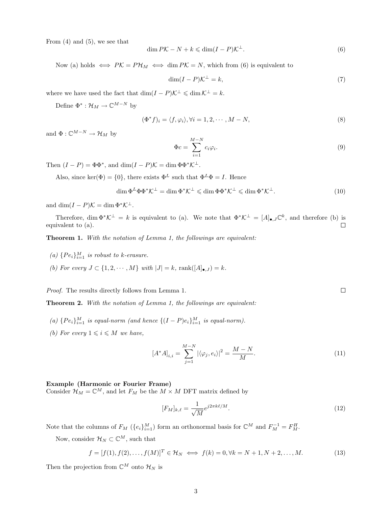From  $(4)$  and  $(5)$ , we see that

$$
\dim P\mathcal{K} - N + k \leq \dim(I - P)\mathcal{K}^{\perp}.\tag{6}
$$

Now (a) holds  $\iff P\mathcal{K} = P\mathcal{H}_M \iff \dim P\mathcal{K} = N$ , which from (6) is equivalent to

$$
\dim(I - P)\mathcal{K}^{\perp} = k,\tag{7}
$$

where we have used the fact that  $\dim(I - P)\mathcal{K}^{\perp} \leqslant \dim \mathcal{K}^{\perp} = k$ .

Define  $\Phi^* : \mathcal{H}_M \to \mathbb{C}^{M-N}$  by

$$
(\Phi^* f)_i = \langle f, \varphi_i \rangle, \forall i = 1, 2, \cdots, M - N,\tag{8}
$$

and  $\Phi: \mathbb{C}^{M-N} \to \mathcal{H}_M$  by

$$
\Phi c = \sum_{i=1}^{M-N} c_i \varphi_i.
$$
\n(9)

Then  $(I - P) = \Phi \Phi^*$ , and  $\dim(I - P)\mathcal{K} = \dim \Phi \Phi^* \mathcal{K}^{\perp}$ .

Also, since ker( $\Phi$ ) = {0}, there exists  $\Phi^L$  such that  $\Phi^L \Phi = I$ . Hence

$$
\dim \Phi^L \Phi \Phi^* \mathcal{K}^\perp = \dim \Phi^* \mathcal{K}^\perp \leqslant \dim \Phi \Phi^* \mathcal{K}^\perp \leqslant \dim \Phi^* \mathcal{K}^\perp. \tag{10}
$$

and  $\dim(I - P)\mathcal{K} = \dim \Phi^*\mathcal{K}^{\perp}.$ 

Therefore, dim  $\Phi^* \mathcal{K}^{\perp} = k$  is equivalent to (a). We note that  $\Phi^* \mathcal{K}^{\perp} = [A]_{\bullet,J} \mathbb{C}^k$ , and therefore (b) is equivalent to (a).  $\Box$ 

Theorem 1. With the notation of Lemma 1, the followings are equivalent:

- (a)  $\{Pe_i\}_{i=1}^M$  is robust to k-erasure.
- (b) For every  $J \subset \{1, 2, \cdots, M\}$  with  $|J| = k$ , rank $([A]_{\bullet, J}) = k$ .

Proof. The results directly follows from Lemma 1.

Theorem 2. With the notation of Lemma 1, the followings are equivalent:

- (a)  $\{Pe_i\}_{i=1}^M$  is equal-norm (and hence  $\{(I-P)e_i\}_{i=1}^M$  is equal-norm).
- (b) For every  $1 \leq i \leq M$  we have,

$$
[A^*A]_{i,i} = \sum_{j=1}^{M-N} |\langle \varphi_j, e_i \rangle|^2 = \frac{M-N}{M}.
$$
 (11)

 $\Box$ 

#### Example (Harmonic or Fourier Frame)

Consider  $\mathcal{H}_M = \mathbb{C}^M$ , and let  $F_M$  be the  $M \times M$  DFT matrix defined by

$$
[F_M]_{k,\ell} = \frac{1}{\sqrt{M}} e^{j2\pi k\ell/M}.
$$
\n(12)

Note that the columns of  $F_M$  ( $\{e_i\}_{i=1}^M$ ) form an orthonormal basis for  $\mathbb{C}^M$  and  $F_M^{-1} = F_M^H$ .

Now, consider  $\mathcal{H}_N \subset \mathbb{C}^M$ , such that

$$
f = [f(1), f(2), ..., f(M)]^T \in \mathcal{H}_N \iff f(k) = 0, \forall k = N + 1, N + 2, ..., M.
$$
 (13)

Then the projection from  $\mathbb{C}^M$  onto  $\mathcal{H}_N$  is